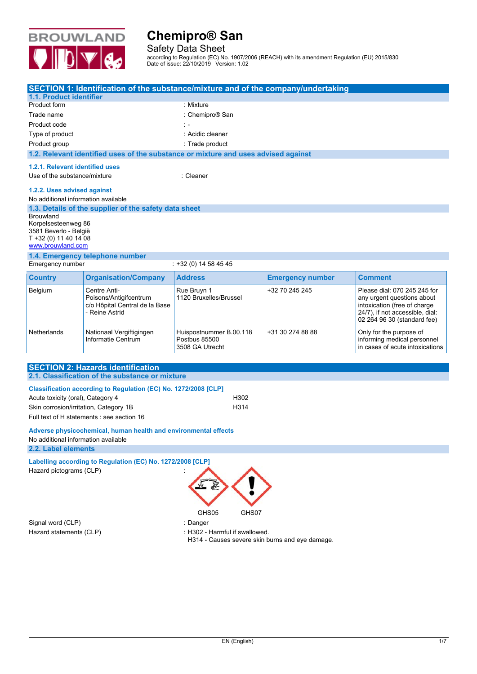

Safety Data Sheet

according to Regulation (EC) No. 1907/2006 (REACH) with its amendment Regulation (EU) 2015/830 Date of issue: 22/10/2019 Version: 1.02

|                                                                                            | SECTION 1: Identification of the substance/mixture and of the company/undertaking          |                                                             |                         |                                                                                                                                                              |
|--------------------------------------------------------------------------------------------|--------------------------------------------------------------------------------------------|-------------------------------------------------------------|-------------------------|--------------------------------------------------------------------------------------------------------------------------------------------------------------|
| 1.1. Product identifier                                                                    |                                                                                            |                                                             |                         |                                                                                                                                                              |
| Product form                                                                               |                                                                                            | : Mixture                                                   |                         |                                                                                                                                                              |
| Trade name                                                                                 |                                                                                            | : Chemipro® San                                             |                         |                                                                                                                                                              |
| Product code                                                                               |                                                                                            | $\mathbb{R}$ =                                              |                         |                                                                                                                                                              |
| Type of product                                                                            |                                                                                            | : Acidic cleaner                                            |                         |                                                                                                                                                              |
| Product group                                                                              |                                                                                            | : Trade product                                             |                         |                                                                                                                                                              |
|                                                                                            | 1.2. Relevant identified uses of the substance or mixture and uses advised against         |                                                             |                         |                                                                                                                                                              |
| 1.2.1. Relevant identified uses<br>Use of the substance/mixture                            |                                                                                            | : Cleaner                                                   |                         |                                                                                                                                                              |
| 1.2.2. Uses advised against<br>No additional information available                         |                                                                                            |                                                             |                         |                                                                                                                                                              |
| Brouwland                                                                                  | 1.3. Details of the supplier of the safety data sheet                                      |                                                             |                         |                                                                                                                                                              |
| Korpelsesteenweg 86<br>3581 Beverlo - België<br>T +32 (0) 11 40 14 08<br>www.brouwland.com |                                                                                            |                                                             |                         |                                                                                                                                                              |
| 1.4. Emergency telephone number                                                            |                                                                                            |                                                             |                         |                                                                                                                                                              |
| Emergency number<br>$: +32(0)14584545$                                                     |                                                                                            |                                                             |                         |                                                                                                                                                              |
| <b>Country</b>                                                                             | <b>Organisation/Company</b>                                                                | <b>Address</b>                                              | <b>Emergency number</b> | <b>Comment</b>                                                                                                                                               |
| Belgium                                                                                    | Centre Anti-<br>Poisons/Antigifcentrum<br>c/o Hôpital Central de la Base<br>- Reine Astrid | Rue Bruyn 1<br>1120 Bruxelles/Brussel                       | +32 70 245 245          | Please dial: 070 245 245 for<br>any urgent questions about<br>intoxication (free of charge<br>24/7), if not accessible, dial:<br>02 264 96 30 (standard fee) |
| <b>Netherlands</b>                                                                         | Nationaal Vergiftigingen<br>Informatie Centrum                                             | Huispostnummer B.00.118<br>Postbus 85500<br>3508 GA Utrecht | +31 30 274 88 88        | Only for the purpose of<br>informing medical personnel<br>in cases of acute intoxications                                                                    |

## **SECTION 2: Hazards identification 2.1. Classification of the substance or mixture Classification according to Regulation (EC) No. 1272/2008 [CLP]** Acute toxicity (oral), Category 4 H302

Skin corrosion/irritation, Category 1B <br>
H314 Full text of H statements : see section 16

### **Adverse physicochemical, human health and environmental effects** No additional information available

**2.2. Label elements** 

## Labelling according to Regulation (EC) No. 1272/2008 [CLP] Hazard pictograms (CLP) :



Signal word (CLP) **in the set of the Signal word (CLP)** and the set of the set of the set of the set of the set o

Hazard statements (CLP)  $\qquad \qquad$ : H302 - Harmful if swallowed.

H314 - Causes severe skin burns and eye damage.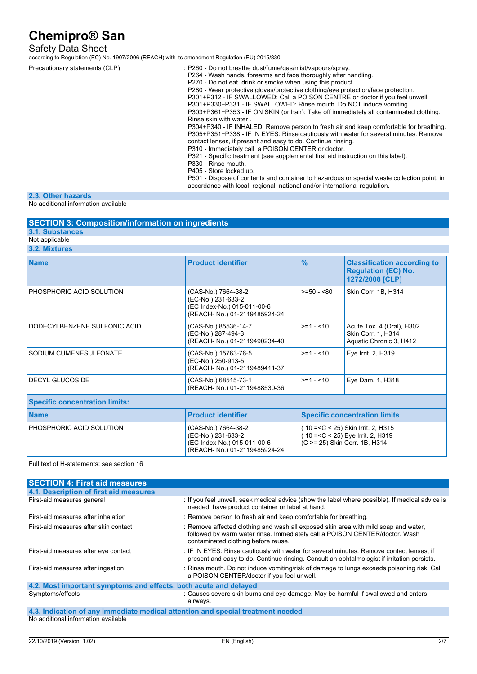### Safety Data Sheet

according to Regulation (EC) No. 1907/2006 (REACH) with its amendment Regulation (EU) 2015/830

| Precautionary statements (CLP) | : P260 - Do not breathe dust/fume/gas/mist/vapours/spray.                                   |
|--------------------------------|---------------------------------------------------------------------------------------------|
|                                | P264 - Wash hands, forearms and face thoroughly after handling.                             |
|                                | P270 - Do not eat, drink or smoke when using this product.                                  |
|                                | P280 - Wear protective gloves/protective clothing/eye protection/face protection.           |
|                                | P301+P312 - IF SWALLOWED: Call a POISON CENTRE or doctor if you feel unwell.                |
|                                | P301+P330+P331 - IF SWALLOWED: Rinse mouth. Do NOT induce vomiting.                         |
|                                | P303+P361+P353 - IF ON SKIN (or hair): Take off immediately all contaminated clothing.      |
|                                | Rinse skin with water.                                                                      |
|                                | P304+P340 - IF INHALED: Remove person to fresh air and keep comfortable for breathing.      |
|                                | P305+P351+P338 - IF IN EYES: Rinse cautiously with water for several minutes. Remove        |
|                                | contact lenses, if present and easy to do. Continue rinsing.                                |
|                                | P310 - Immediately call a POISON CENTER or doctor.                                          |
|                                | P321 - Specific treatment (see supplemental first aid instruction on this label).           |
|                                | P330 - Rinse mouth.                                                                         |
|                                | P405 - Store locked up.                                                                     |
|                                | P501 - Dispose of contents and container to hazardous or special waste collection point, in |
|                                | accordance with local, regional, national and/or international regulation.                  |

### **2.3. Other hazards**

No additional information available

| <b>SECTION 3: Composition/information on ingredients</b> |                           |  |
|----------------------------------------------------------|---------------------------|--|
| 3.1. Substances                                          |                           |  |
| Not applicable                                           |                           |  |
| 3.2. Mixtures                                            |                           |  |
| <b>Name</b>                                              | <b>Product identifier</b> |  |

| <b>Name</b>                           | <b>Product identifier</b>                                                                                 | $\frac{9}{6}$ | <b>Classification according to</b><br><b>Regulation (EC) No.</b><br>1272/2008 [CLP]                                                      |
|---------------------------------------|-----------------------------------------------------------------------------------------------------------|---------------|------------------------------------------------------------------------------------------------------------------------------------------|
| PHOSPHORIC ACID SOLUTION              | (CAS-No.) 7664-38-2<br>(EC-No.) 231-633-2<br>(EC Index-No.) 015-011-00-6<br>(REACH- No.) 01-2119485924-24 | $>=50 - 80$   | Skin Corr. 1B, H314                                                                                                                      |
| DODECYLBENZENE SULFONIC ACID          | (CAS-No.) 85536-14-7<br>(EC-No.) 287-494-3<br>(REACH- No.) 01-2119490234-40                               | $>=1 - 10$    | Acute Tox. 4 (Oral), H302<br>Skin Corr. 1, H314<br>Aquatic Chronic 3, H412                                                               |
| SODIUM CUMENESULFONATE                | (CAS-No.) 15763-76-5<br>(EC-No.) 250-913-5<br>(REACH- No.) 01-2119489411-37                               | $>=1 - 10$    | Eye Irrit. 2, H319                                                                                                                       |
| DECYL GLUCOSIDE                       | (CAS-No.) 68515-73-1<br>(REACH- No.) 01-2119488530-36                                                     | $>=1 - 10$    | Eye Dam. 1, H318                                                                                                                         |
| <b>Specific concentration limits:</b> |                                                                                                           |               |                                                                                                                                          |
| <b>Name</b>                           | <b>Product identifier</b>                                                                                 |               | <b>Specific concentration limits</b>                                                                                                     |
| PHOSPHORIC ACID SOLUTION              | (CAS-No.) 7664-38-2<br>(EC-No.) 231-633-2<br>(EC Index-No.) 015-011-00-6<br>(REACH- No.) 01-2119485924-24 |               | (10 = <c 2,="" 25)="" <="" h315<br="" irrit.="" skin="">10 = &lt; C &lt; 25) Eye Irrit. 2, H319<br/>(C &gt;= 25) Skin Corr. 1B, H314</c> |

#### Full text of H-statements: see section 16

| <b>SECTION 4: First aid measures</b>                             |                                                                                                                                                                                                           |  |
|------------------------------------------------------------------|-----------------------------------------------------------------------------------------------------------------------------------------------------------------------------------------------------------|--|
| 4.1. Description of first aid measures                           |                                                                                                                                                                                                           |  |
| First-aid measures general                                       | : If you feel unwell, seek medical advice (show the label where possible). If medical advice is<br>needed, have product container or label at hand.                                                       |  |
| First-aid measures after inhalation                              | : Remove person to fresh air and keep comfortable for breathing.                                                                                                                                          |  |
| First-aid measures after skin contact                            | : Remove affected clothing and wash all exposed skin area with mild soap and water,<br>followed by warm water rinse. Immediately call a POISON CENTER/doctor. Wash<br>contaminated clothing before reuse. |  |
| First-aid measures after eye contact                             | : IF IN EYES: Rinse cautiously with water for several minutes. Remove contact lenses, if<br>present and easy to do. Continue rinsing. Consult an ophtalmologist if irritation persists.                   |  |
| First-aid measures after ingestion                               | : Rinse mouth. Do not induce vomiting/risk of damage to lungs exceeds poisoning risk. Call<br>a POISON CENTER/doctor if you feel unwell.                                                                  |  |
| 4.2. Most important symptoms and effects, both acute and delayed |                                                                                                                                                                                                           |  |
| Symptoms/effects                                                 | : Causes severe skin burns and eye damage. May be harmful if swallowed and enters<br>airways.                                                                                                             |  |

#### **4.3. Indication of any immediate medical attention and special treatment needed**  No additional information available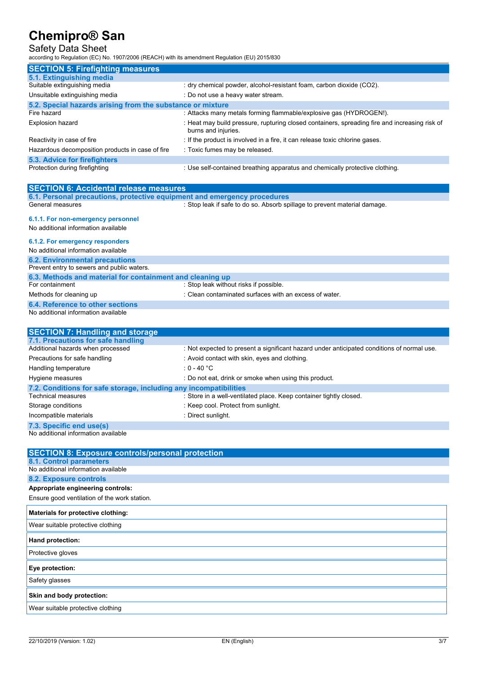### Safety Data Sheet

according to Regulation (EC) No. 1907/2006 (REACH) with its amendment Regulation (EU) 2015/830

| <b>SECTION 5: Firefighting measures</b>                    |                                                                                                                      |  |
|------------------------------------------------------------|----------------------------------------------------------------------------------------------------------------------|--|
| 5.1. Extinguishing media                                   |                                                                                                                      |  |
| Suitable extinguishing media                               | : dry chemical powder, alcohol-resistant foam, carbon dioxide (CO2).                                                 |  |
| Unsuitable extinguishing media                             | : Do not use a heavy water stream.                                                                                   |  |
| 5.2. Special hazards arising from the substance or mixture |                                                                                                                      |  |
| Fire hazard                                                | : Attacks many metals forming flammable/explosive gas (HYDROGEN!).                                                   |  |
| <b>Explosion hazard</b>                                    | : Heat may build pressure, rupturing closed containers, spreading fire and increasing risk of<br>burns and injuries. |  |
| Reactivity in case of fire                                 | : If the product is involved in a fire, it can release toxic chlorine gases.                                         |  |
| Hazardous decomposition products in case of fire           | : Toxic fumes may be released.                                                                                       |  |
| 5.3. Advice for firefighters                               |                                                                                                                      |  |
| Protection during firefighting                             | : Use self-contained breathing apparatus and chemically protective clothing.                                         |  |

| <b>SECTION 6: Accidental release measures</b>                            |                                                                                            |  |
|--------------------------------------------------------------------------|--------------------------------------------------------------------------------------------|--|
| 6.1. Personal precautions, protective equipment and emergency procedures |                                                                                            |  |
| General measures                                                         | : Stop leak if safe to do so. Absorb spillage to prevent material damage.                  |  |
| 6.1.1. For non-emergency personnel                                       |                                                                                            |  |
|                                                                          |                                                                                            |  |
| No additional information available                                      |                                                                                            |  |
| 6.1.2. For emergency responders                                          |                                                                                            |  |
| No additional information available                                      |                                                                                            |  |
| <b>6.2. Environmental precautions</b>                                    |                                                                                            |  |
| Prevent entry to sewers and public waters.                               |                                                                                            |  |
| 6.3. Methods and material for containment and cleaning up                |                                                                                            |  |
| For containment                                                          | : Stop leak without risks if possible.                                                     |  |
| Methods for cleaning up                                                  | : Clean contaminated surfaces with an excess of water.                                     |  |
| 6.4. Reference to other sections                                         |                                                                                            |  |
| No additional information available                                      |                                                                                            |  |
|                                                                          |                                                                                            |  |
| <b>SECTION 7: Handling and storage</b>                                   |                                                                                            |  |
| 7.1. Precautions for safe handling                                       |                                                                                            |  |
| Additional hazards when processed                                        | : Not expected to present a significant hazard under anticipated conditions of normal use. |  |
| Precautions for safe handling                                            | : Avoid contact with skin, eyes and clothing.                                              |  |

| <b>FIGUALIONS IOI SAIG HANGHING</b>                               | . Avoid contact with skin, eyes and clothing.                      |  |
|-------------------------------------------------------------------|--------------------------------------------------------------------|--|
| Handling temperature                                              | : 0 - 40 $^{\circ}$ C                                              |  |
| Hygiene measures                                                  | : Do not eat, drink or smoke when using this product.              |  |
| 7.2. Conditions for safe storage, including any incompatibilities |                                                                    |  |
| <b>Technical measures</b>                                         | : Store in a well-ventilated place. Keep container tightly closed. |  |
| Storage conditions                                                | : Keep cool. Protect from sunlight.                                |  |
| Incompatible materials                                            | : Direct sunlight.                                                 |  |
| 7.3. Specific end use(s)                                          |                                                                    |  |

No additional information available

| <b>SECTION 8: Exposure controls/personal protection</b> |
|---------------------------------------------------------|
| 8.1. Control parameters                                 |
| No additional information available                     |
| 8.2. Exposure controls                                  |
| Appropriate engineering controls:                       |
| Ensure good ventilation of the work station.            |
| Materials for protective clothing:                      |
| Wear suitable protective clothing                       |
| Hand protection:                                        |
| Protective gloves                                       |
| Eye protection:                                         |
| Safety glasses                                          |
| Skin and body protection:                               |
| Wear suitable protective clothing                       |
|                                                         |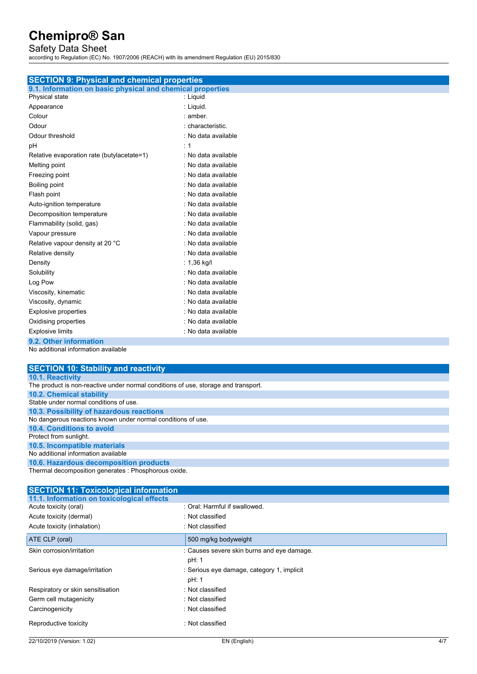### Safety Data Sheet

according to Regulation (EC) No. 1907/2006 (REACH) with its amendment Regulation (EU) 2015/830

| <b>SECTION 9: Physical and chemical properties</b>         |                     |  |
|------------------------------------------------------------|---------------------|--|
| 9.1. Information on basic physical and chemical properties |                     |  |
| Physical state                                             | : Liquid            |  |
| Appearance                                                 | : Liquid.           |  |
| Colour                                                     | : amber             |  |
| Odour                                                      | : characteristic.   |  |
| Odour threshold                                            | : No data available |  |
| pH                                                         | $\div$ 1            |  |
| Relative evaporation rate (butylacetate=1)                 | : No data available |  |
| Melting point                                              | : No data available |  |
| Freezing point                                             | : No data available |  |
| Boiling point                                              | : No data available |  |
| Flash point                                                | : No data available |  |
| Auto-ignition temperature                                  | : No data available |  |
| Decomposition temperature                                  | : No data available |  |
| Flammability (solid, gas)                                  | : No data available |  |
| Vapour pressure                                            | : No data available |  |
| Relative vapour density at 20 °C                           | : No data available |  |
| Relative density                                           | : No data available |  |
| Density                                                    | : $1,36$ kg/l       |  |
| Solubility                                                 | : No data available |  |
| Log Pow                                                    | : No data available |  |
| Viscosity, kinematic                                       | : No data available |  |
| Viscosity, dynamic                                         | : No data available |  |
| <b>Explosive properties</b>                                | : No data available |  |
| Oxidising properties                                       | : No data available |  |
| <b>Explosive limits</b>                                    | : No data available |  |
| 9.2. Other information                                     |                     |  |
| No additional information available                        |                     |  |

| <b>SECTION 10: Stability and reactivity</b>                                        |
|------------------------------------------------------------------------------------|
| <b>10.1. Reactivity</b>                                                            |
| The product is non-reactive under normal conditions of use, storage and transport. |
| <b>10.2. Chemical stability</b>                                                    |
| Stable under normal conditions of use.                                             |
| 10.3. Possibility of hazardous reactions                                           |
| No dangerous reactions known under normal conditions of use.                       |
| 10.4. Conditions to avoid                                                          |
| Protect from sunlight.                                                             |
| 10.5. Incompatible materials                                                       |
| No additional information available                                                |
| 10.6. Hazardous decomposition products                                             |
| Thermal decomposition generates : Phosphorous oxide.                               |

| <b>SECTION 11: Toxicological information</b> |                                            |
|----------------------------------------------|--------------------------------------------|
| 11.1. Information on toxicological effects   |                                            |
| Acute toxicity (oral)                        | : Oral: Harmful if swallowed.              |
| Acute toxicity (dermal)                      | : Not classified                           |
| Acute toxicity (inhalation)                  | : Not classified                           |
| ATE CLP (oral)                               | 500 mg/kg bodyweight                       |
| Skin corrosion/irritation                    | : Causes severe skin burns and eye damage. |
|                                              | pH: 1                                      |
| Serious eye damage/irritation                | : Serious eye damage, category 1, implicit |
|                                              | pH: 1                                      |
| Respiratory or skin sensitisation            | : Not classified                           |
| Germ cell mutagenicity                       | : Not classified                           |
| Carcinogenicity                              | : Not classified                           |
| Reproductive toxicity                        | $\therefore$ Not classified                |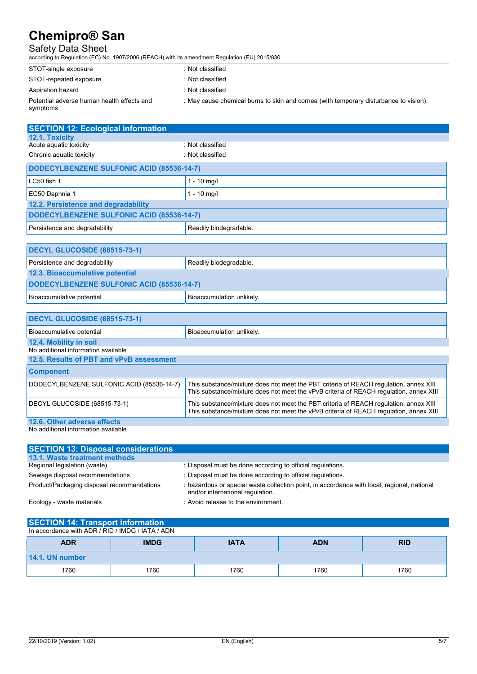### Safety Data Sheet

according to Regulation (EC) No. 1907/2006 (REACH) with its amendment Regulation (EU) 2015/830

| STOT-single exposure                                   | : Not classified                                                                      |
|--------------------------------------------------------|---------------------------------------------------------------------------------------|
| STOT-repeated exposure                                 | : Not classified                                                                      |
| Aspiration hazard                                      | : Not classified                                                                      |
| Potential adverse human health effects and<br>symptoms | : May cause chemical burns to skin and cornea (with temporary disturbance to vision). |

| <b>SECTION 12: Ecological information</b>        |                                                                                                                                                                                 |  |
|--------------------------------------------------|---------------------------------------------------------------------------------------------------------------------------------------------------------------------------------|--|
| 12.1. Toxicity                                   |                                                                                                                                                                                 |  |
| Acute aquatic toxicity                           | · Not classified                                                                                                                                                                |  |
| Chronic aquatic toxicity                         | : Not classified                                                                                                                                                                |  |
| <b>DODECYLBENZENE SULFONIC ACID (85536-14-7)</b> |                                                                                                                                                                                 |  |
| LC50 fish 1                                      | $1 - 10$ mg/l                                                                                                                                                                   |  |
| EC50 Daphnia 1                                   | $1 - 10$ mg/l                                                                                                                                                                   |  |
| 12.2. Persistence and degradability              |                                                                                                                                                                                 |  |
| DODECYLBENZENE SULFONIC ACID (85536-14-7)        |                                                                                                                                                                                 |  |
| Persistence and degradability                    | Readily biodegradable.                                                                                                                                                          |  |
|                                                  |                                                                                                                                                                                 |  |
| DECYL GLUCOSIDE (68515-73-1)                     |                                                                                                                                                                                 |  |
| Persistence and degradability                    | Readily biodegradable.                                                                                                                                                          |  |
| 12.3. Bioaccumulative potential                  |                                                                                                                                                                                 |  |
| DODECYLBENZENE SULFONIC ACID (85536-14-7)        |                                                                                                                                                                                 |  |
| Bioaccumulative potential                        | Bioaccumulation unlikely.                                                                                                                                                       |  |
|                                                  |                                                                                                                                                                                 |  |
| DECYL GLUCOSIDE (68515-73-1)                     |                                                                                                                                                                                 |  |
| Bioaccumulative potential                        | Bioaccumulation unlikely.                                                                                                                                                       |  |
| 12.4. Mobility in soil                           |                                                                                                                                                                                 |  |
| No additional information available              |                                                                                                                                                                                 |  |
| 12.5. Results of PBT and vPvB assessment         |                                                                                                                                                                                 |  |
| <b>Component</b>                                 |                                                                                                                                                                                 |  |
| DODECYLBENZENE SULFONIC ACID (85536-14-7)        | This substance/mixture does not meet the PBT criteria of REACH regulation, annex XIII<br>This substance/mixture does not meet the vPvB criteria of REACH regulation, annex XIII |  |
| DECYL GLUCOSIDE (68515-73-1)                     | This substance/mixture does not meet the PBT criteria of REACH requlation, annex XIII<br>This substance/mixture does not meet the vPvB criteria of REACH regulation, annex XIII |  |

**12.6. Other adverse effects** 

No additional information available

| <b>SECTION 13: Disposal considerations</b> |                                                                                                                                 |
|--------------------------------------------|---------------------------------------------------------------------------------------------------------------------------------|
| 13.1. Waste treatment methods              |                                                                                                                                 |
| Regional legislation (waste)               | : Disposal must be done according to official regulations.                                                                      |
| Sewage disposal recommendations            | : Disposal must be done according to official regulations.                                                                      |
| Product/Packaging disposal recommendations | : hazardous or special waste collection point, in accordance with local, regional, national<br>and/or international regulation. |
| Ecology - waste materials                  | : Avoid release to the environment.                                                                                             |

| <b>SECTION 14: Transport information</b>         |
|--------------------------------------------------|
| In accordance with ADR / RID / IMDG / IATA / ADN |

| <b>ADR</b>      | <b>IMDG</b> | <b>IATA</b> | <b>ADN</b> | <b>RID</b> |
|-----------------|-------------|-------------|------------|------------|
| 14.1. UN number |             |             |            |            |
| 1760            | 1760        | 1760        | 1760       | 1760       |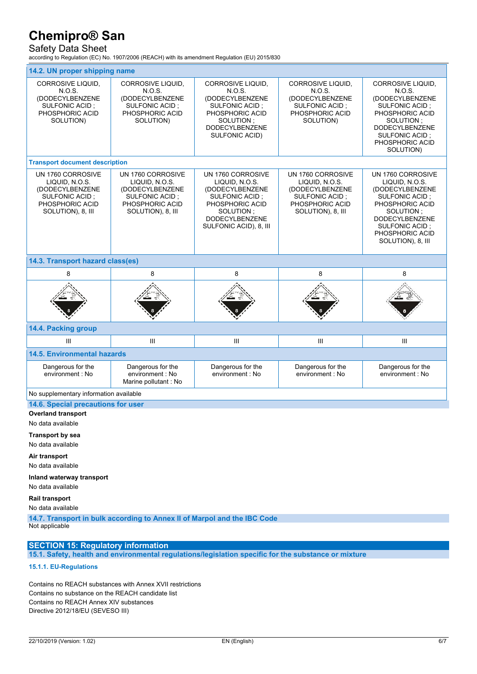## Safety Data Sheet

according to Regulation (EC) No. 1907/2006 (REACH) with its amendment Regulation (EU) 2015/830

| 14.2. UN proper shipping name                                                                                           |                                                                                                                         |                                                                                                                                                              |                                                                                                                         |                                                                                                                                                                                             |
|-------------------------------------------------------------------------------------------------------------------------|-------------------------------------------------------------------------------------------------------------------------|--------------------------------------------------------------------------------------------------------------------------------------------------------------|-------------------------------------------------------------------------------------------------------------------------|---------------------------------------------------------------------------------------------------------------------------------------------------------------------------------------------|
| <b>CORROSIVE LIQUID,</b><br>N.O.S.<br>(DODECYLBENZENE<br>SULFONIC ACID;<br>PHOSPHORIC ACID<br>SOLUTION)                 | <b>CORROSIVE LIQUID.</b><br>N.O.S.<br>(DODECYLBENZENE<br><b>SULFONIC ACID:</b><br>PHOSPHORIC ACID<br>SOLUTION)          | CORROSIVE LIQUID,<br>N.O.S.<br>(DODECYLBENZENE<br><b>SULFONIC ACID:</b><br>PHOSPHORIC ACID<br>SOLUTION;<br><b>DODECYLBENZENE</b><br><b>SULFONIC ACID)</b>    | <b>CORROSIVE LIQUID.</b><br>N.O.S.<br>(DODECYLBENZENE<br>SULFONIC ACID;<br>PHOSPHORIC ACID<br>SOLUTION)                 | <b>CORROSIVE LIQUID,</b><br>N.O.S.<br>(DODECYLBENZENE<br>SULFONIC ACID;<br>PHOSPHORIC ACID<br>SOLUTION;<br><b>DODECYLBENZENE</b><br>SULFONIC ACID;<br>PHOSPHORIC ACID<br>SOLUTION)          |
| <b>Transport document description</b>                                                                                   |                                                                                                                         |                                                                                                                                                              |                                                                                                                         |                                                                                                                                                                                             |
| UN 1760 CORROSIVE<br>LIQUID, N.O.S.<br>(DODECYLBENZENE<br><b>SULFONIC ACID:</b><br>PHOSPHORIC ACID<br>SOLUTION), 8, III | UN 1760 CORROSIVE<br>LIQUID, N.O.S.<br>(DODECYLBENZENE<br><b>SULFONIC ACID:</b><br>PHOSPHORIC ACID<br>SOLUTION), 8, III | UN 1760 CORROSIVE<br>LIQUID, N.O.S.<br>(DODECYLBENZENE<br>SULFONIC ACID :<br>PHOSPHORIC ACID<br>SOLUTION:<br><b>DODECYLBENZENE</b><br>SULFONIC ACID), 8, III | UN 1760 CORROSIVE<br>LIQUID, N.O.S.<br>(DODECYLBENZENE<br><b>SULFONIC ACID:</b><br>PHOSPHORIC ACID<br>SOLUTION), 8, III | UN 1760 CORROSIVE<br>LIQUID, N.O.S.<br>(DODECYLBENZENE<br>SULFONIC ACID;<br>PHOSPHORIC ACID<br>SOLUTION;<br><b>DODECYLBENZENE</b><br>SULFONIC ACID:<br>PHOSPHORIC ACID<br>SOLUTION), 8, III |
| 14.3. Transport hazard class(es)                                                                                        |                                                                                                                         |                                                                                                                                                              |                                                                                                                         |                                                                                                                                                                                             |
| 8                                                                                                                       | 8                                                                                                                       | 8                                                                                                                                                            | 8                                                                                                                       | 8                                                                                                                                                                                           |
|                                                                                                                         |                                                                                                                         |                                                                                                                                                              |                                                                                                                         |                                                                                                                                                                                             |
| 14.4. Packing group                                                                                                     |                                                                                                                         |                                                                                                                                                              |                                                                                                                         |                                                                                                                                                                                             |
|                                                                                                                         |                                                                                                                         |                                                                                                                                                              |                                                                                                                         |                                                                                                                                                                                             |
| Ш                                                                                                                       | Ш                                                                                                                       | Ш                                                                                                                                                            | III                                                                                                                     | Ш                                                                                                                                                                                           |
| <b>14.5. Environmental hazards</b>                                                                                      |                                                                                                                         |                                                                                                                                                              |                                                                                                                         |                                                                                                                                                                                             |
| Dangerous for the<br>environment: No                                                                                    | Dangerous for the<br>environment : No<br>Marine pollutant: No                                                           | Dangerous for the<br>environment: No                                                                                                                         | Dangerous for the<br>environment: No                                                                                    | Dangerous for the<br>environment: No                                                                                                                                                        |
| No supplementary information available                                                                                  |                                                                                                                         |                                                                                                                                                              |                                                                                                                         |                                                                                                                                                                                             |
| 14.6. Special precautions for user                                                                                      |                                                                                                                         |                                                                                                                                                              |                                                                                                                         |                                                                                                                                                                                             |
| <b>Overland transport</b><br>No data available                                                                          |                                                                                                                         |                                                                                                                                                              |                                                                                                                         |                                                                                                                                                                                             |
| <b>Transport by sea</b>                                                                                                 |                                                                                                                         |                                                                                                                                                              |                                                                                                                         |                                                                                                                                                                                             |
| No data available                                                                                                       |                                                                                                                         |                                                                                                                                                              |                                                                                                                         |                                                                                                                                                                                             |

No data available

**Inland waterway transport** 

### No data available **Rail transport**

No data available

**14.7. Transport in bulk according to Annex II of Marpol and the IBC Code**  Not applicable

### **SECTION 15: Regulatory information**

**15.1. Safety, health and environmental regulations/legislation specific for the substance or mixture** 

### **15.1.1. EU-Regulations**

Contains no REACH substances with Annex XVII restrictions Contains no substance on the REACH candidate list Contains no REACH Annex XIV substances Directive 2012/18/EU (SEVESO III)